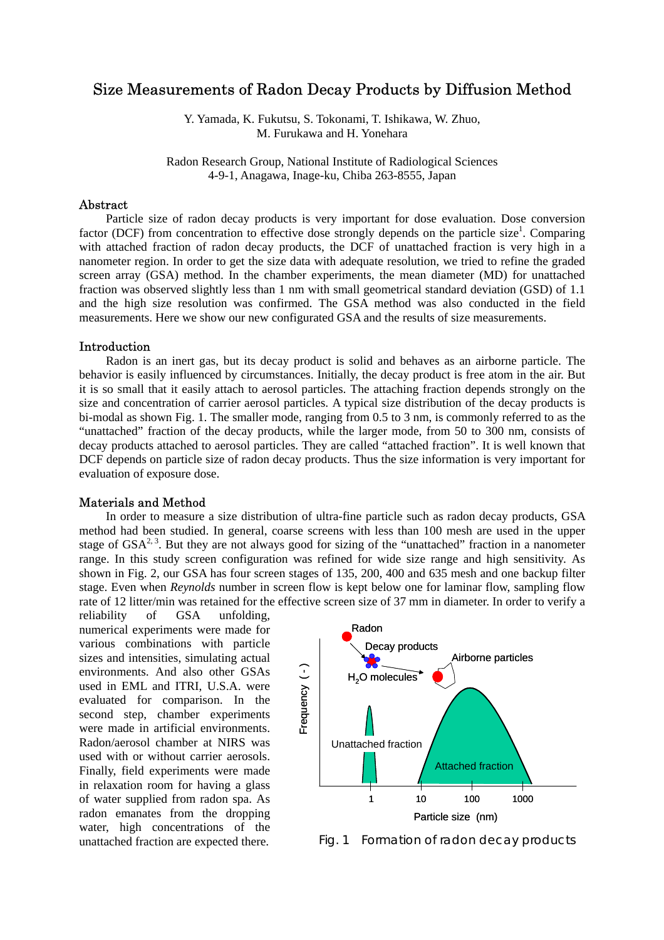# Size Measurements of Radon Decay Products by Diffusion Method

Y. Yamada, K. Fukutsu, S. Tokonami, T. Ishikawa, W. Zhuo, M. Furukawa and H. Yonehara

Radon Research Group, National Institute of Radiological Sciences 4-9-1, Anagawa, Inage-ku, Chiba 263-8555, Japan

## Abstract

Particle size of radon decay products is very important for dose evaluation. Dose conversion factor (DCF) from concentration to effective dose strongly depends on the particle size<sup>1</sup>. Comparing with attached fraction of radon decay products, the DCF of unattached fraction is very high in a nanometer region. In order to get the size data with adequate resolution, we tried to refine the graded screen array (GSA) method. In the chamber experiments, the mean diameter (MD) for unattached fraction was observed slightly less than 1 nm with small geometrical standard deviation (GSD) of 1.1 and the high size resolution was confirmed. The GSA method was also conducted in the field measurements. Here we show our new configurated GSA and the results of size measurements.

#### Introduction

Radon is an inert gas, but its decay product is solid and behaves as an airborne particle. The behavior is easily influenced by circumstances. Initially, the decay product is free atom in the air. But it is so small that it easily attach to aerosol particles. The attaching fraction depends strongly on the size and concentration of carrier aerosol particles. A typical size distribution of the decay products is bi-modal as shown Fig. 1. The smaller mode, ranging from 0.5 to 3 nm, is commonly referred to as the "unattached" fraction of the decay products, while the larger mode, from 50 to 300 nm, consists of decay products attached to aerosol particles. They are called "attached fraction". It is well known that DCF depends on particle size of radon decay products. Thus the size information is very important for evaluation of exposure dose.

#### Materials and Method

In order to measure a size distribution of ultra-fine particle such as radon decay products, GSA method had been studied. In general, coarse screens with less than 100 mesh are used in the upper stage of  $GSA^{2,3}$ . But they are not always good for sizing of the "unattached" fraction in a nanometer range. In this study screen configuration was refined for wide size range and high sensitivity. As shown in Fig. 2, our GSA has four screen stages of 135, 200, 400 and 635 mesh and one backup filter stage. Even when *Reynolds* number in screen flow is kept below one for laminar flow, sampling flow rate of 12 litter/min was retained for the effective screen size of 37 mm in diameter. In order to verify a

reliability of GSA unfolding, numerical experiments were made for various combinations with particle sizes and intensities, simulating actual environments. And also other GSAs used in EML and ITRI, U.S.A. were evaluated for comparison. In the second step, chamber experiments were made in artificial environments. Radon/aerosol chamber at NIRS was used with or without carrier aerosols. Finally, field experiments were made in relaxation room for having a glass of water supplied from radon spa. As radon emanates from the dropping water, high concentrations of the unattached fraction are expected there.



Fig. 1 Formation of radon decay products